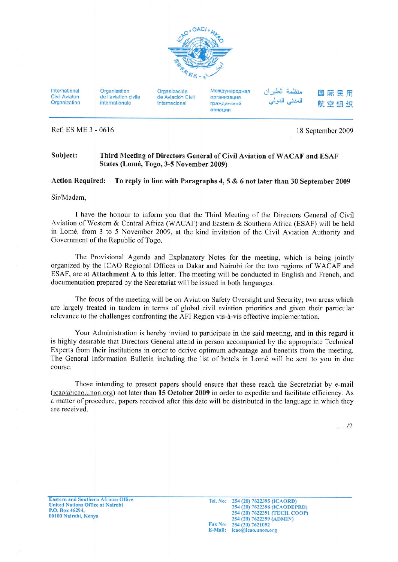

International Civil Aviaton Organization

Organisation de l'aviation civile internationale

Organización de Aviación Civil Internacional

Международная организация гражданской авиации

منظمة الطيران المدني الدولمي

国际民用 航空组织

Ref: ES ME 3 - 0616

18 September 2009

#### Subject: Third Meeting of Directors General of Civil Aviation of WACAF and ESAF States (Lomé, Togo, 3-5 November 2009)

#### **Action Required:** To reply in line with Paragraphs 4, 5 & 6 not later than 30 September 2009

Sir/Madam,

I have the honour to inform you that the Third Meeting of the Directors General of Civil Aviation of Western & Central Africa (WACAF) and Eastern & Southern Africa (ESAF) will be held in Lomé, from 3 to 5 November 2009, at the kind invitation of the Civil Aviation Authority and Government of the Republic of Togo.

The Provisional Agenda and Explanatory Notes for the meeting, which is being jointly organized by the ICAO Regional Offices in Dakar and Nairobi for the two regions of WACAF and ESAF, are at Attachment A to this letter. The meeting will be conducted in English and French, and documentation prepared by the Secretariat will be issued in both languages.

The focus of the meeting will be on Aviation Safety Oversight and Security; two areas which are largely treated in tandem in terms of global civil aviation priorities and given their particular relevance to the challenges confronting the AFI Region vis-à-vis effective implementation.

Your Administration is hereby invited to participate in the said meeting, and in this regard it is highly desirable that Directors General attend in person accompanied by the appropriate Technical Experts from their institutions in order to derive optimum advantage and benefits from the meeting. The General Information Bulletin including the list of hotels in Lomé will be sent to you in due course.

Those intending to present papers should ensure that these reach the Secretariat by e-mail  $(icao@icao.unon.org)$  not later than 15 October 2009 in order to expedite and facilitate efficiency. As a matter of procedure, papers received after this date will be distributed in the language in which they are received

 $\dots 12$ 

**Eastern and Southern African Office United Nations Office at Nairobi** P.O. Box 46294. 00100 Nairobi, Kenya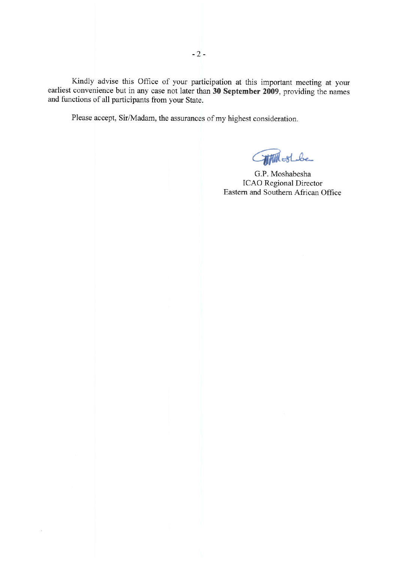Kindly advise this Office of your participation at this important meeting at your earliest convenience but in any case not later than 30 September 2009, providing the names and functions of all participants from your State.

Please accept, Sir/Madam, the assurances of my highest consideration.

š,

**Commissione** 

G.P. Moshabesha **ICAO** Regional Director Eastern and Southern African Office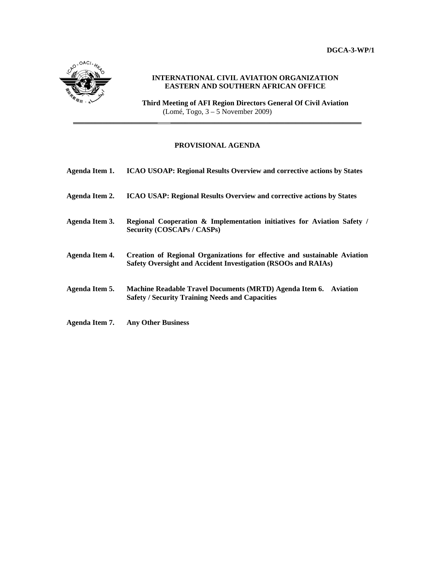**DGCA-3-WP/1** 



# **INTERNATIONAL CIVIL AVIATION ORGANIZATION EASTERN AND SOUTHERN AFRICAN OFFICE**

**Third Meeting of AFI Region Directors General Of Civil Aviation**   $(Lomé, Togo, 3 - 5$  November 2009)

# **PROVISIONAL AGENDA**

**\_\_\_\_\_\_\_\_\_\_\_\_\_\_\_\_\_\_\_\_\_\_\_ \_\_\_\_\_\_\_\_\_\_\_\_\_\_\_\_\_\_\_\_\_\_\_\_\_\_\_\_\_\_\_\_\_\_\_\_\_\_\_\_\_\_\_\_\_\_\_\_\_\_\_\_**

| Agenda Item 1. | <b>ICAO USOAP: Regional Results Overview and corrective actions by States</b>                                                              |
|----------------|--------------------------------------------------------------------------------------------------------------------------------------------|
| Agenda Item 2. | <b>ICAO USAP: Regional Results Overview and corrective actions by States</b>                                                               |
| Agenda Item 3. | Regional Cooperation & Implementation initiatives for Aviation Safety /<br>Security (COSCAPs / CASPs)                                      |
| Agenda Item 4. | Creation of Regional Organizations for effective and sustainable Aviation<br>Safety Oversight and Accident Investigation (RSOOs and RAIAs) |
| Agenda Item 5. | <b>Machine Readable Travel Documents (MRTD) Agenda Item 6. Aviation</b><br><b>Safety / Security Training Needs and Capacities</b>          |
| Agenda Item 7. | <b>Any Other Business</b>                                                                                                                  |